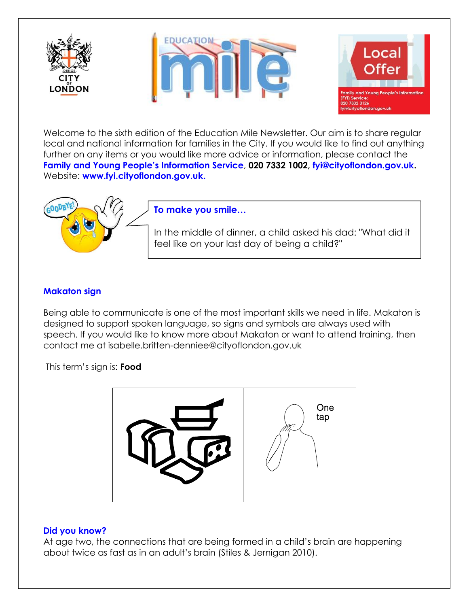





Welcome to the sixth edition of the Education Mile Newsletter. Our aim is to share regular local and national information for families in the City. If you would like to find out anything further on any items or you would like more advice or information, please contact the **Family and Young People's Information Service**, **020 7332 1002, [fyi@cityoflondon.gov.uk.](mailto:fyi@cityoflondon.gov.uk)**  Website: **[www.fyi.cityoflondon.gov.uk.](http://www.fyi.cityoflondon.gov.uk/)**



# **To make you smile…**

In the middle of dinner, a child asked his dad: "What did it feel like on your last day of being a child?"

## **Makaton sign**

Being able to communicate is one of the most important skills we need in life. Makaton is designed to support spoken language, so signs and symbols are always used with speech. If you would like to know more about Makaton or want to attend training, then contact me at isabelle.britten-denniee@cityoflondon.gov.uk

This term's sign is: **Food**



#### **Did you know?**

At age two, the connections that are being formed in a child's brain are happening about twice as fast as in an adult's brain (Stiles & Jernigan 2010).